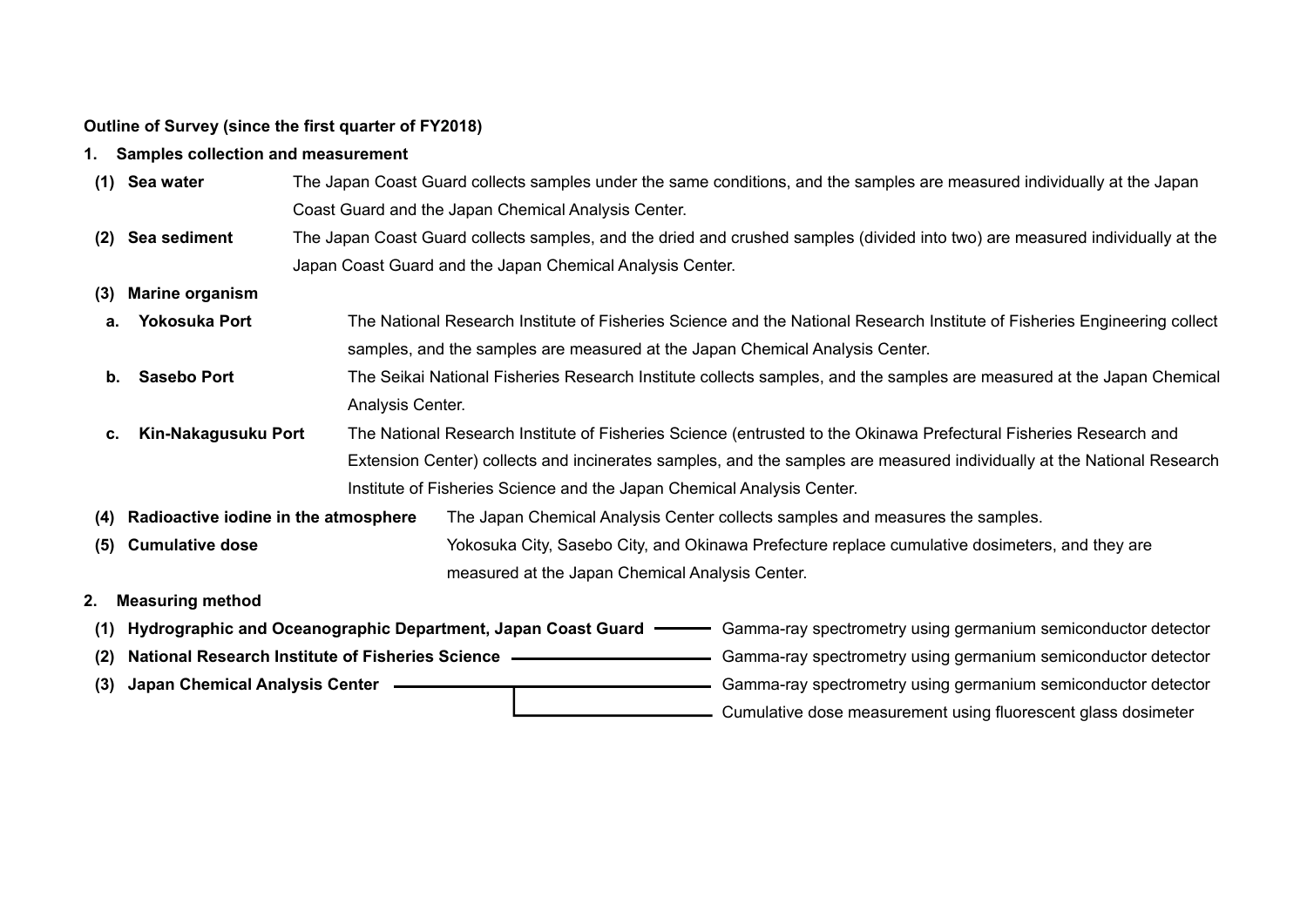## **Outline of Survey (since the first quarter of FY2018)**

- **1. Samples collection and measurement**
- **(1) Sea water** The Japan Coast Guard collects samples under the same conditions, and the samples are measured individually at the Japan Coast Guard and the Japan Chemical Analysis Center.
- **(2) Sea sediment** The Japan Coast Guard collects samples, and the dried and crushed samples (divided into two) are measured individually at the Japan Coast Guard and the Japan Chemical Analysis Center.
- **(3) Marine organism**
- **a. Yokosuka Port** The National Research Institute of Fisheries Science and the National Research Institute of Fisheries Engineering collect samples, and the samples are measured at the Japan Chemical Analysis Center.
- **b.** Sasebo Port **The Seikai National Fisheries Research Institute collects samples, and the samples are measured at the Japan Chemical** Analysis Center.
- **c. Kin-Nakagusuku Port** The National Research Institute of Fisheries Science (entrusted to the Okinawa Prefectural Fisheries Research and Extension Center) collects and incinerates samples, and the samples are measured individually at the National Research Institute of Fisheries Science and the Japan Chemical Analysis Center.
- **(4) Radioactive iodine in the atmosphere** The Japan Chemical Analysis Center collects samples and measures the samples.
- **(5) Cumulative dose** Yokosuka City, Sasebo City, and Okinawa Prefecture replace cumulative dosimeters, and they are measured at the Japan Chemical Analysis Center.
- **2. Measuring method**
- **(1) Hydrographic and Oceanographic Department, Japan Coast Guard** Gamma-ray spectrometry using germanium semiconductor detector (2) National Research Institute of Fisheries Science **Camma-ray spectrometry using germanium semiconductor detector** (3) Japan Chemical Analysis Center **Content Content Content Content Content** Gamma-ray spectrometry using germanium semiconductor detector Cumulative dose measurement using fluorescent glass dosimeter